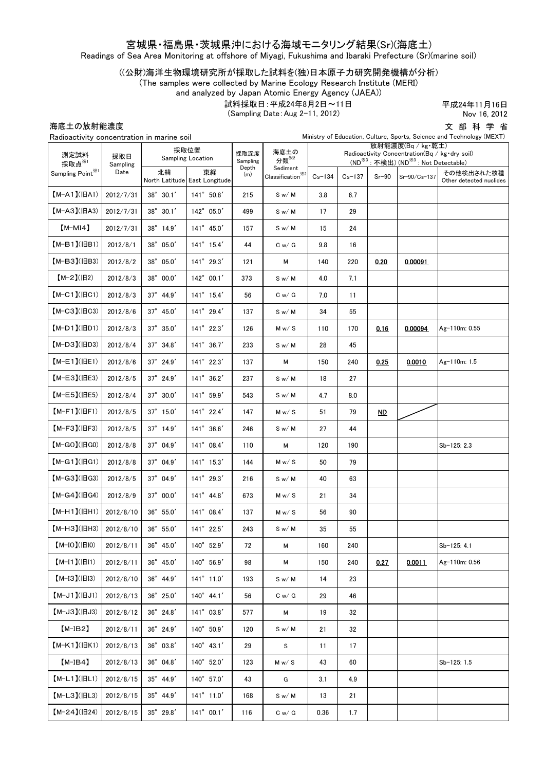## 宮城県・福島県・茨城県沖における海域モニタリング結果(Sr)(海底土)

Readings of Sea Area Monitoring at offshore of Miyagi, Fukushima and Ibaraki Prefecture (Sr)(marine soil)

((公財)海洋生物環境研究所が採取した試料を(独)日本原子力研究開発機構が分析)

(The samples were collected by Marine Ecology Research Institute (MERI)

and analyzed by Japan Atomic Energy Agency (JAEA))

試料採取日:平成24年8月2日~11日

(Sampling Date:Aug 2-11, 2012)

平成24年11月16日 Nov 16, 2012

海底土の放射能濃度

文 部 科 学 省<br>nd Technology (MEXT)

| Ministry of Education, Culture, Sports, Science and Technology (MEXT)<br>Radioactivity concentration in marine soil |                         |                              |                                     |                  |                                                                              |                                                                                                                                    |          |                 |              |                                       |
|---------------------------------------------------------------------------------------------------------------------|-------------------------|------------------------------|-------------------------------------|------------------|------------------------------------------------------------------------------|------------------------------------------------------------------------------------------------------------------------------------|----------|-----------------|--------------|---------------------------------------|
| 測定試料<br>採取点※1<br>Sampling Point <sup>※1</sup>                                                                       | 採取日<br>Sampling<br>Date | 採取位置<br>Sampling Location    |                                     | 採取深度<br>Sampling | 海底土の<br>分類 $*$ <sup>2</sup>                                                  | 放射能濃度(Ba / kg·乾土)<br>Radioactivity Concentration(Bq / kg·dry soil)<br>(ND <sup>※3</sup> : 不検出) (ND <sup>※3</sup> : Not Detectable) |          |                 |              |                                       |
|                                                                                                                     |                         | 北緯                           | 東経<br>North Latitude East Longitude | Depth<br>(m)     | Sediment<br>$\textbf{Classification}^{\textcolor{red}{\tilde{\textbf{X}}2}}$ | $Cs - 134$                                                                                                                         | $Cs-137$ | $Sr-90$         | Sr-90/Cs-137 | その他検出された核種<br>Other detected nuclides |
| $(M-A1)(HA1)$                                                                                                       | 2012/7/31               | $38^{\circ}$ 30.1'           | $141^{\circ}$ 50.8'                 | 215              | S w/M                                                                        | 3.8                                                                                                                                | 6.7      |                 |              |                                       |
| $[M-A3](HA3)$                                                                                                       | 2012/7/31               | $38^{\circ}$ 30.1'           | $142^{\circ}$ 05.0'                 | 499              | S w/M                                                                        | 17                                                                                                                                 | 29       |                 |              |                                       |
| $[M-MI4]$                                                                                                           | 2012/7/31               | 38° 14.9'                    | 141° 45.0'                          | 157              | S w/M                                                                        | 15                                                                                                                                 | 24       |                 |              |                                       |
| $(M-B1)(IBB1)$                                                                                                      | 2012/8/1                | $38^{\circ}$ 05.0'           | $141^{\circ}$ 15.4'                 | 44               | C w / G                                                                      | 9.8                                                                                                                                | 16       |                 |              |                                       |
| $[M-B3]$ ( $IB3$ )                                                                                                  | 2012/8/2                | 38° 05.0'                    | 141° 29.3'                          | 121              | м                                                                            | 140                                                                                                                                | 220      | 0.20            | 0.00091      |                                       |
| $[M-2](H2)$                                                                                                         | 2012/8/3                | 38° 00.0'                    | $142^{\circ}$ 00.1'                 | 373              | S w/M                                                                        | 4.0                                                                                                                                | 7.1      |                 |              |                                       |
| $[M-C1]$ ( $ HC1$ )                                                                                                 | 2012/8/3                | $37^{\circ}$ 44.9'           | $141^{\circ}$ 15.4'                 | 56               | C w / G                                                                      | 7.0                                                                                                                                | 11       |                 |              |                                       |
| $[M-C3]$ ( $ HC3$ )                                                                                                 | 2012/8/6                | 37° 45.0'                    | 141° 29.4'                          | 137              | S w/M                                                                        | 34                                                                                                                                 | 55       |                 |              |                                       |
| $[M-D1]$ ( $ BD1$ )                                                                                                 | 2012/8/3                | $37^{\circ}$ 35.0'           | $141^{\circ}$ 22.3'                 | 126              | M w / S                                                                      | 110                                                                                                                                | 170      | 0.16            | 0.00094      | Ag-110m: 0.55                         |
| $[M-D3]$ ( $ HD3$ )                                                                                                 | 2012/8/4                | $37^{\circ}$ 34.8'           | 141° 36.7'                          | 233              | S w/M                                                                        | 28                                                                                                                                 | 45       |                 |              |                                       |
| $(M-E1)(HE1)$                                                                                                       | 2012/8/6                | $37^{\circ}$ 24.9'           | $141^{\circ}$ 22.3'                 | 137              | м                                                                            | 150                                                                                                                                | 240      | 0.25            | 0.0010       | Ag-110m: 1.5                          |
| $[M-E3](IEE3)$                                                                                                      | 2012/8/5                | 37° 24.9'                    | 141° 36.2'                          | 237              | S w/M                                                                        | 18                                                                                                                                 | 27       |                 |              |                                       |
| $(M-E5)(HE5)$                                                                                                       | 2012/8/4                | 37° 30.0'                    | 141° 59.9'                          | 543              | S w/M                                                                        | 4.7                                                                                                                                | 8.0      |                 |              |                                       |
| $(M-F1)(HF1)$                                                                                                       | 2012/8/5                | $37^{\circ}$ 15.0'           | 141° 22.4'                          | 147              | M w / S                                                                      | 51                                                                                                                                 | 79       | $\overline{MD}$ |              |                                       |
| $[M-F3]$ ( $ HF3$ )                                                                                                 | 2012/8/5                | $37^\circ$ 14.9'             | $141^{\circ}$ 36.6'                 | 246              | S w/M                                                                        | 27                                                                                                                                 | 44       |                 |              |                                       |
| $[M-GO](HGO)$                                                                                                       | 2012/8/8                | 37° 04.9'                    | 141° 08.4'                          | 110              | М                                                                            | 120                                                                                                                                | 190      |                 |              | Sb-125: 2.3                           |
| $[M-G1]$ ( $ HG1$ )                                                                                                 | 2012/8/8                | 37° 04.9'                    | $141^{\circ}$ 15.3'                 | 144              | M w / S                                                                      | 50                                                                                                                                 | 79       |                 |              |                                       |
| $[M-G3](HG3)$                                                                                                       | 2012/8/5                | 37° 04.9'                    | 141° 29.3'                          | 216              | S w/M                                                                        | 40                                                                                                                                 | 63       |                 |              |                                       |
| $[M-G4](HG4)$                                                                                                       | 2012/8/9                | 37° 00.0'                    | $141^{\circ}$ 44.8'                 | 673              | M w / S                                                                      | 21                                                                                                                                 | 34       |                 |              |                                       |
| $(M-H1)(HH1)$                                                                                                       | 2012/8/10               | 36° 55.0'                    | 141° 08.4'                          | 137              | M w / S                                                                      | 56                                                                                                                                 | 90       |                 |              |                                       |
| $[M-H3](HH3)$                                                                                                       | 2012/8/10               | $36^{\circ}$ 55.0'           | 141° 22.5'                          | 243              | S w/M                                                                        | 35                                                                                                                                 | 55       |                 |              |                                       |
| $[M-IO]( EIO)$                                                                                                      | 2012/8/11               | $36^{\circ}$ 45.0'           | 140° 52.9'                          | 72               | м                                                                            | 160                                                                                                                                | 240      |                 |              | Sb-125: 4.1                           |
| $[M-I1]( H1)$                                                                                                       | 2012/8/11               | $36^\circ$ $45.0'$           | 140° 56.9'                          | 98               | м                                                                            | 150                                                                                                                                | 240      | 0.27            | 0.0011       | Ag-110m: 0.56                         |
| $[M-I3]( E13)$                                                                                                      | 2012/8/10               | $36^{\circ}$ 44.9'           | $141^{\circ}$ 11.0'                 | 193              | S w/M                                                                        | 14                                                                                                                                 | 23       |                 |              |                                       |
| $(M-J1)(HJI)$                                                                                                       | 2012/8/13               | $36^{\circ}$ 25.0'           | $140^{\circ}$ 44.1'                 | 56               | C w / G                                                                      | 29                                                                                                                                 | 46       |                 |              |                                       |
| $[M-J3](HJ3)$                                                                                                       | 2012/8/12               | $36^\circ$ $24.8'$           | $141^{\circ}$ 03.8'                 | 577              | М                                                                            | 19                                                                                                                                 | 32       |                 |              |                                       |
| $[M-IB2]$                                                                                                           | 2012/8/11               | 36° 24.9'                    | $140^{\circ}$ 50.9'                 | 120              | S w/M                                                                        | 21                                                                                                                                 | 32       |                 |              |                                       |
| $[M-K1]$ ( $ HK1$ )                                                                                                 | 2012/8/13               | 36°03.8'                     | $140^{\circ}$ 43.1'                 | 29               | S                                                                            | 11                                                                                                                                 | 17       |                 |              |                                       |
| $[M-IB4]$                                                                                                           | 2012/8/13               | $36^{\circ}$ 04.8'           | 140° 52.0'                          | 123              | M w / S                                                                      | 43                                                                                                                                 | 60       |                 |              | Sb-125: 1.5                           |
| $[M-L1]( HL1)$                                                                                                      | 2012/8/15               | $35^{\circ}$ $44.9^{\prime}$ | $140^{\circ}$ 57.0'                 | 43               | G                                                                            | 3.1                                                                                                                                | 4.9      |                 |              |                                       |
| $[M-L3](HL3)$                                                                                                       | 2012/8/15               | $35^{\circ}$ 44.9'           | $141^{\circ}$ 11.0'                 | 168              | S w/M                                                                        | 13                                                                                                                                 | 21       |                 |              |                                       |
| $[M-24](H24)$                                                                                                       | 2012/8/15               | $35^\circ$ $29.8'$           | $141^{\circ}$ 00.1'                 | 116              | C w / G                                                                      | 0.36                                                                                                                               | 1.7      |                 |              |                                       |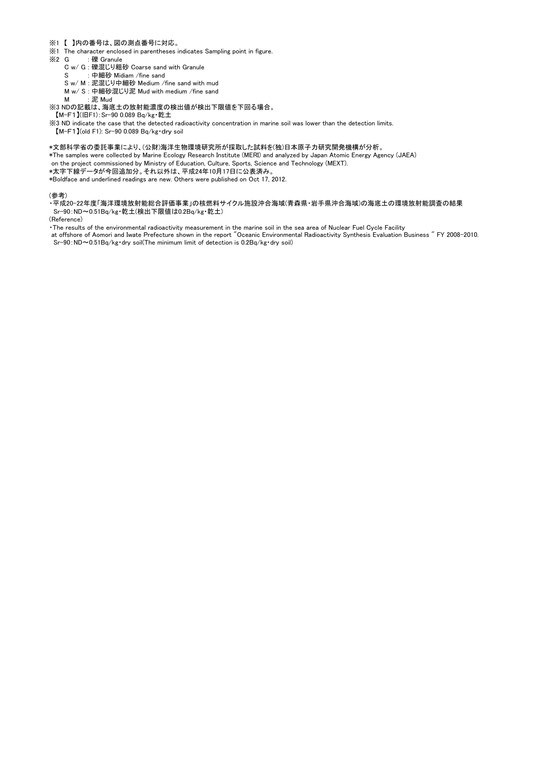- ※1 【 】内の番号は、図の測点番号に対応。
- ※1 The character enclosed in parentheses indicates Sampling point in figure.
- ※2 G : 礫 Granule
	- C w/ G : 礫混じり粗砂 Coarse sand with Granule
	- S : 中細砂 Midiam /fine sand

S w/ M : 泥混じり中細砂 Medium /fine sand with mud

M w/ S : 中細砂混じり泥 Mud with medium /fine sand M · 泥 Mud

※3 NDの記載は、海底土の放射能濃度の検出値が検出下限値を下回る場合。

【M-F1】(旧F1):Sr-90 0.089 Bq/kg・乾土

※3 ND indicate the case that the detected radioactivity concentration in marine soil was lower than the detection limits.

【M-F1】(old F1): Sr-90 0.089 Bq/kg・dry soil

- \*文部科学省の委託事業により、(公財)海洋生物環境研究所が採取した試料を(独)日本原子力研究開発機構が分析。
- \*The samples were collected by Marine Ecology Research Institute (MERI) and analyzed by Japan Atomic Energy Agency (JAEA) on the project commissioned by Ministry of Education, Culture, Sports, Science and Technology (MEXT).
- \*太字下線データが今回追加分。それ以外は、平成24年10月17日に公表済み。

\*Boldface and underlined readings are new. Others were published on Oct 17, 2012.

## (参考)

・平成20-22年度「海洋環境放射能総合評価事業」の核燃料サイクル施設沖合海域(青森県・岩手県沖合海域)の海底土の環境放射能調査の結果 Sr-90:ND~0.51Bq/kg・乾土(検出下限値は0.2Bq/kg・乾土)

(Reference)

・The results of the environmental radioactivity measurement in the marine soil in the sea area of Nuclear Fuel Cycle Facility

 at offshore of Aomori and Iwate Prefecture shown in the report "Oceanic Environmental Radioactivity Synthesis Evaluation Business " FY 2008-2010. Sr-90:ND~0.51Bq/kg・dry soil(The minimum limit of detection is 0.2Bq/kg・dry soil)